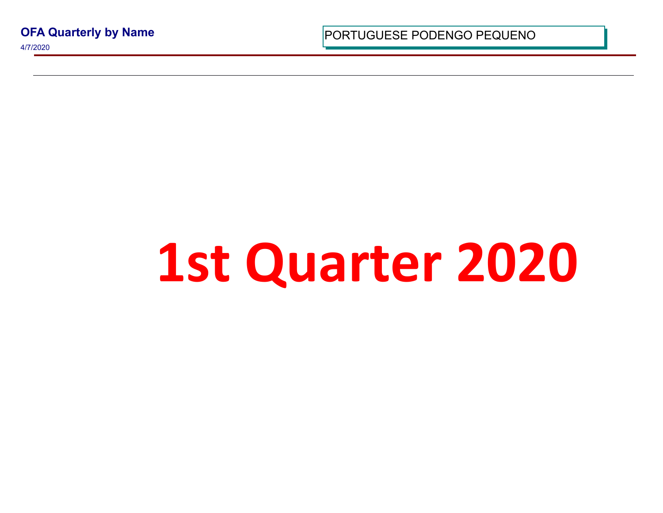**OFA Quarterly by Name**

4/7/2020

PORTUGUESE PODENGO PEQUI

## 1st Quarter 20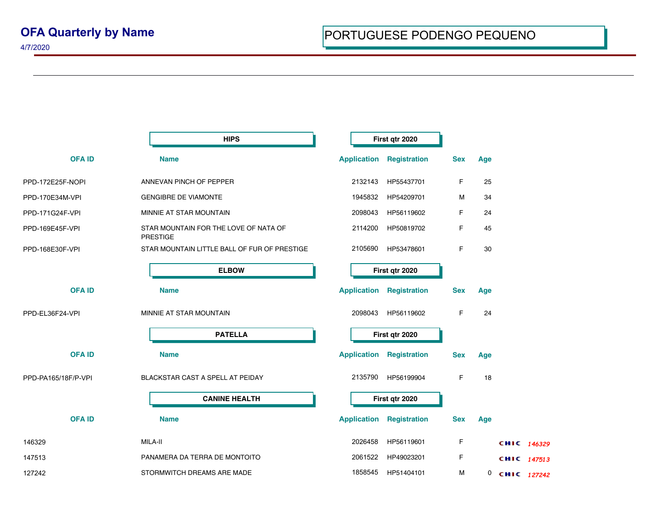4/7/2020